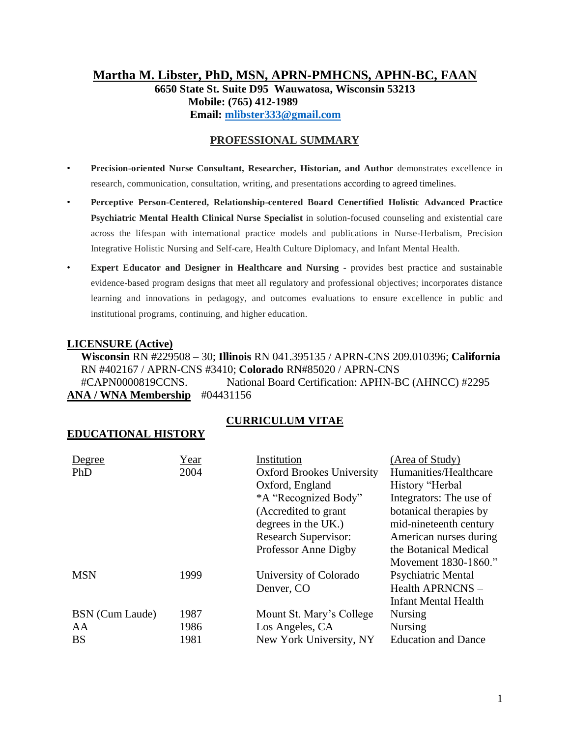## **Martha M. Libster, PhD, MSN, APRN-PMHCNS, APHN-BC, FAAN 6650 State St. Suite D95 Wauwatosa, Wisconsin 53213 Mobile: (765) 412-1989 Email: [mlibster333@gmail.com](mailto:mlibster333@gmail.com)**

## **PROFESSIONAL SUMMARY**

- **Precision-oriented Nurse Consultant, Researcher, Historian, and Author** demonstrates excellence in research, communication, consultation, writing, and presentations according to agreed timelines.
- **Perceptive Person-Centered, Relationship-centered Board Cenertified Holistic Advanced Practice Psychiatric Mental Health Clinical Nurse Specialist** in solution-focused counseling and existential care across the lifespan with international practice models and publications in Nurse-Herbalism, Precision Integrative Holistic Nursing and Self-care, Health Culture Diplomacy, and Infant Mental Health.
- **Expert Educator and Designer in Healthcare and Nursing** provides best practice and sustainable evidence-based program designs that meet all regulatory and professional objectives; incorporates distance learning and innovations in pedagogy, and outcomes evaluations to ensure excellence in public and institutional programs, continuing, and higher education.

## **LICENSURE (Active)**

 **Wisconsin** RN #229508 – 30; **Illinois** RN 041.395135 / APRN-CNS 209.010396; **California** RN #402167 / APRN-CNS #3410; **Colorado** RN#85020 / APRN-CNS #CAPN0000819CCNS. National Board Certification: APHN-BC (AHNCC) #2295 **ANA / WNA Membership** #04431156

## **CURRICULUM VITAE**

## **EDUCATIONAL HISTORY**

| Degree          | Year | Institution                      | (Area of Study)             |
|-----------------|------|----------------------------------|-----------------------------|
| PhD             | 2004 | <b>Oxford Brookes University</b> | Humanities/Healthcare       |
|                 |      | Oxford, England                  | History "Herbal             |
|                 |      | *A "Recognized Body"             | Integrators: The use of     |
|                 |      | (Accredited to grant             | botanical therapies by      |
|                 |      | degrees in the UK.)              | mid-nineteenth century      |
|                 |      | <b>Research Supervisor:</b>      | American nurses during      |
|                 |      | Professor Anne Digby             | the Botanical Medical       |
|                 |      |                                  | Movement 1830-1860."        |
| <b>MSN</b>      | 1999 | University of Colorado           | <b>Psychiatric Mental</b>   |
|                 |      | Denver, CO                       | Health APRNCNS -            |
|                 |      |                                  | <b>Infant Mental Health</b> |
| BSN (Cum Laude) | 1987 | Mount St. Mary's College         | Nursing                     |
| AA              | 1986 | Los Angeles, CA                  | <b>Nursing</b>              |
| <b>BS</b>       | 1981 | New York University, NY          | <b>Education and Dance</b>  |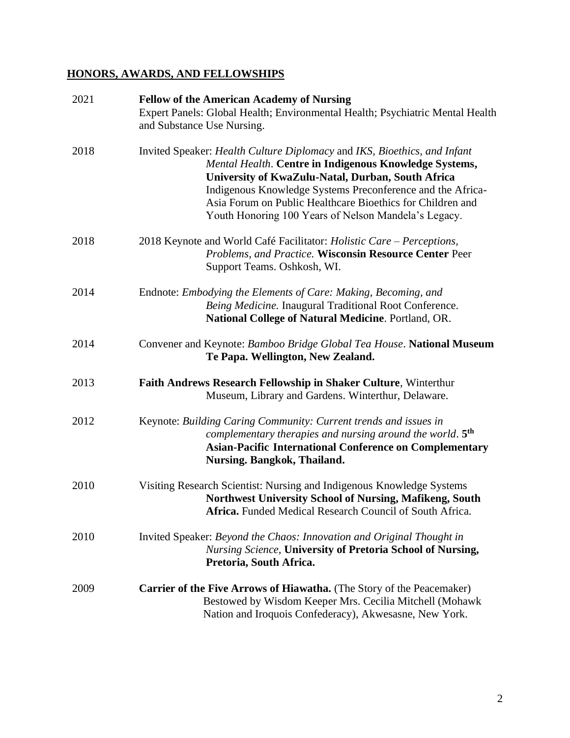## **HONORS, AWARDS, AND FELLOWSHIPS**

| 2021 | <b>Fellow of the American Academy of Nursing</b><br>Expert Panels: Global Health; Environmental Health; Psychiatric Mental Health<br>and Substance Use Nursing.                                                                                                                                                                                                             |
|------|-----------------------------------------------------------------------------------------------------------------------------------------------------------------------------------------------------------------------------------------------------------------------------------------------------------------------------------------------------------------------------|
| 2018 | Invited Speaker: Health Culture Diplomacy and IKS, Bioethics, and Infant<br>Mental Health. Centre in Indigenous Knowledge Systems,<br>University of KwaZulu-Natal, Durban, South Africa<br>Indigenous Knowledge Systems Preconference and the Africa-<br>Asia Forum on Public Healthcare Bioethics for Children and<br>Youth Honoring 100 Years of Nelson Mandela's Legacy. |
| 2018 | 2018 Keynote and World Café Facilitator: Holistic Care – Perceptions,<br>Problems, and Practice. Wisconsin Resource Center Peer<br>Support Teams. Oshkosh, WI.                                                                                                                                                                                                              |
| 2014 | Endnote: Embodying the Elements of Care: Making, Becoming, and<br>Being Medicine. Inaugural Traditional Root Conference.<br>National College of Natural Medicine. Portland, OR.                                                                                                                                                                                             |
| 2014 | Convener and Keynote: Bamboo Bridge Global Tea House. National Museum<br>Te Papa. Wellington, New Zealand.                                                                                                                                                                                                                                                                  |
| 2013 | Faith Andrews Research Fellowship in Shaker Culture, Winterthur<br>Museum, Library and Gardens. Winterthur, Delaware.                                                                                                                                                                                                                                                       |
| 2012 | Keynote: Building Caring Community: Current trends and issues in<br>complementary therapies and nursing around the world. 5 <sup>th</sup><br><b>Asian-Pacific International Conference on Complementary</b><br><b>Nursing. Bangkok, Thailand.</b>                                                                                                                           |
| 2010 | Visiting Research Scientist: Nursing and Indigenous Knowledge Systems<br>Northwest University School of Nursing, Mafikeng, South<br>Africa. Funded Medical Research Council of South Africa                                                                                                                                                                                 |
| 2010 | Invited Speaker: Beyond the Chaos: Innovation and Original Thought in<br><b>Nursing Science, University of Pretoria School of Nursing,</b><br>Pretoria, South Africa.                                                                                                                                                                                                       |
| 2009 | <b>Carrier of the Five Arrows of Hiawatha.</b> (The Story of the Peacemaker)<br>Bestowed by Wisdom Keeper Mrs. Cecilia Mitchell (Mohawk<br>Nation and Iroquois Confederacy), Akwesasne, New York.                                                                                                                                                                           |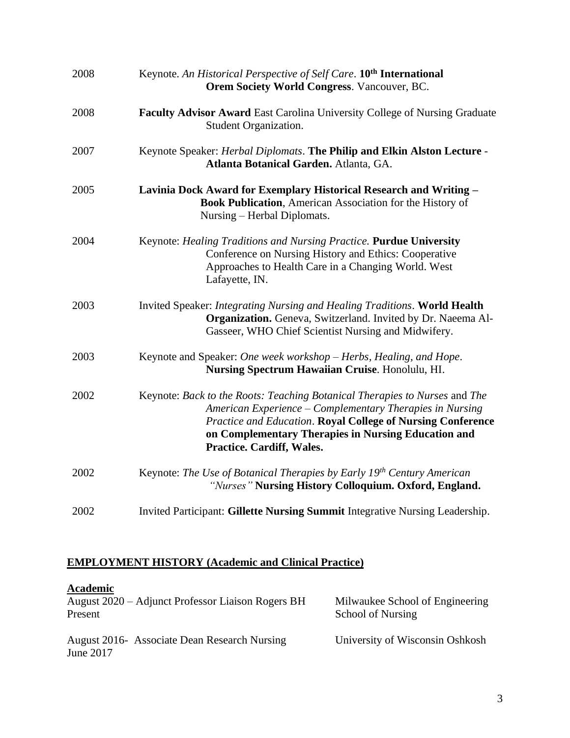| 2008 | Keynote. An Historical Perspective of Self Care. 10 <sup>th</sup> International<br><b>Orem Society World Congress. Vancouver, BC.</b>                                                                                                                                                     |
|------|-------------------------------------------------------------------------------------------------------------------------------------------------------------------------------------------------------------------------------------------------------------------------------------------|
| 2008 | Faculty Advisor Award East Carolina University College of Nursing Graduate<br>Student Organization.                                                                                                                                                                                       |
| 2007 | Keynote Speaker: Herbal Diplomats. The Philip and Elkin Alston Lecture -<br>Atlanta Botanical Garden. Atlanta, GA.                                                                                                                                                                        |
| 2005 | Lavinia Dock Award for Exemplary Historical Research and Writing -<br>Book Publication, American Association for the History of<br>Nursing – Herbal Diplomats.                                                                                                                            |
| 2004 | Keynote: Healing Traditions and Nursing Practice. Purdue University<br>Conference on Nursing History and Ethics: Cooperative<br>Approaches to Health Care in a Changing World. West<br>Lafayette, IN.                                                                                     |
| 2003 | Invited Speaker: Integrating Nursing and Healing Traditions. World Health<br>Organization. Geneva, Switzerland. Invited by Dr. Naeema Al-<br>Gasseer, WHO Chief Scientist Nursing and Midwifery.                                                                                          |
| 2003 | Keynote and Speaker: One week workshop – Herbs, Healing, and Hope.<br>Nursing Spectrum Hawaiian Cruise. Honolulu, HI.                                                                                                                                                                     |
| 2002 | Keynote: Back to the Roots: Teaching Botanical Therapies to Nurses and The<br>American Experience – Complementary Therapies in Nursing<br>Practice and Education. Royal College of Nursing Conference<br>on Complementary Therapies in Nursing Education and<br>Practice. Cardiff, Wales. |
| 2002 | Keynote: The Use of Botanical Therapies by Early 19th Century American<br>"Nurses" Nursing History Colloquium. Oxford, England.                                                                                                                                                           |
| 2002 | Invited Participant: Gillette Nursing Summit Integrative Nursing Leadership.                                                                                                                                                                                                              |

# **EMPLOYMENT HISTORY (Academic and Clinical Practice)**

| Academic<br>August 2020 – Adjunct Professor Liaison Rogers BH<br>Present | Milwaukee School of Engineering<br><b>School of Nursing</b> |
|--------------------------------------------------------------------------|-------------------------------------------------------------|
| August 2016 Associate Dean Research Nursing<br>June 2017                 | University of Wisconsin Oshkosh                             |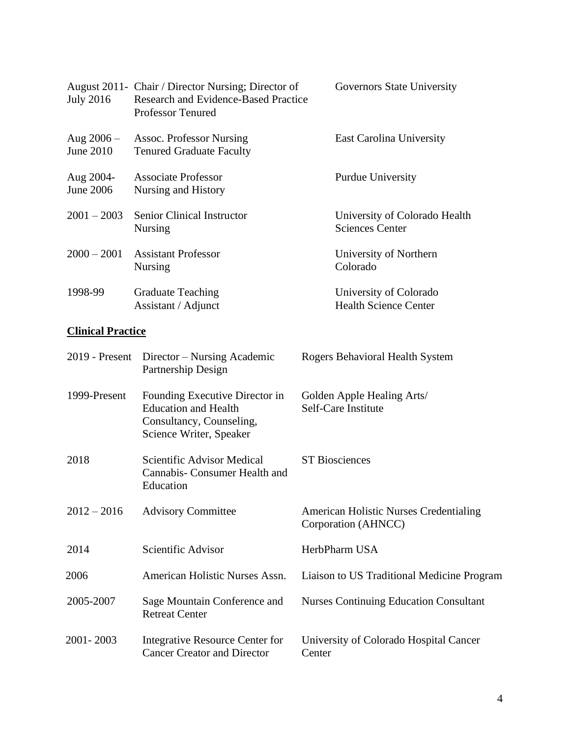| <b>July 2016</b>            | August 2011- Chair / Director Nursing; Director of<br><b>Research and Evidence-Based Practice</b><br><b>Professor Tenured</b> | <b>Governors State University</b>                       |
|-----------------------------|-------------------------------------------------------------------------------------------------------------------------------|---------------------------------------------------------|
| Aug $2006 -$<br>June $2010$ | <b>Assoc. Professor Nursing</b><br><b>Tenured Graduate Faculty</b>                                                            | <b>East Carolina University</b>                         |
| Aug 2004-<br>June 2006      | Associate Professor<br>Nursing and History                                                                                    | <b>Purdue University</b>                                |
| $2001 - 2003$               | <b>Senior Clinical Instructor</b><br><b>Nursing</b>                                                                           | University of Colorado Health<br><b>Sciences Center</b> |
| $2000 - 2001$               | <b>Assistant Professor</b><br><b>Nursing</b>                                                                                  | University of Northern<br>Colorado                      |
| 1998-99                     | <b>Graduate Teaching</b><br>Assistant / Adjunct                                                                               | University of Colorado<br><b>Health Science Center</b>  |

# **Clinical Practice**

| 2019 - Present | Director – Nursing Academic<br>Partnership Design                                                                    | Rogers Behavioral Health System                                      |
|----------------|----------------------------------------------------------------------------------------------------------------------|----------------------------------------------------------------------|
| 1999-Present   | Founding Executive Director in<br><b>Education and Health</b><br>Consultancy, Counseling,<br>Science Writer, Speaker | Golden Apple Healing Arts/<br>Self-Care Institute                    |
| 2018           | Scientific Advisor Medical<br>Cannabis- Consumer Health and<br>Education                                             | <b>ST Biosciences</b>                                                |
| $2012 - 2016$  | <b>Advisory Committee</b>                                                                                            | <b>American Holistic Nurses Credentialing</b><br>Corporation (AHNCC) |
| 2014           | Scientific Advisor                                                                                                   | HerbPharm USA                                                        |
| 2006           | American Holistic Nurses Assn.                                                                                       | Liaison to US Traditional Medicine Program                           |
| 2005-2007      | Sage Mountain Conference and<br><b>Retreat Center</b>                                                                | <b>Nurses Continuing Education Consultant</b>                        |
| 2001-2003      | Integrative Resource Center for<br><b>Cancer Creator and Director</b>                                                | University of Colorado Hospital Cancer<br>Center                     |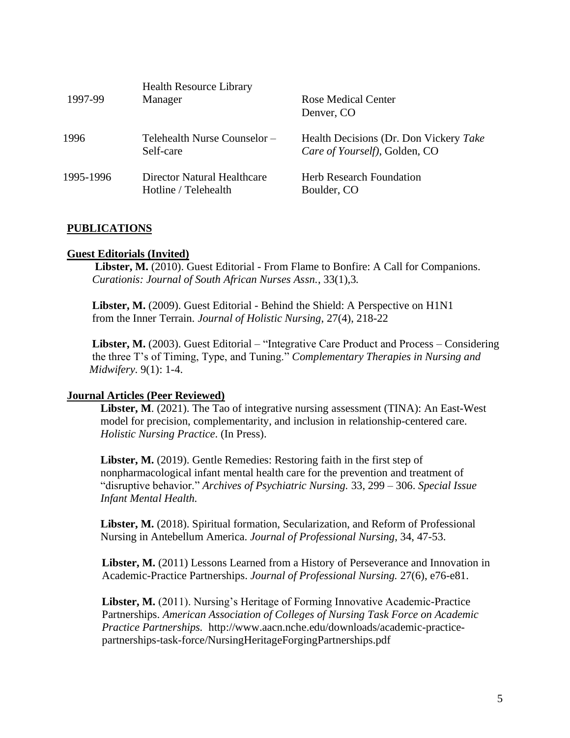| 1997-99   | <b>Health Resource Library</b><br>Manager           | <b>Rose Medical Center</b><br>Denver, CO                                |
|-----------|-----------------------------------------------------|-------------------------------------------------------------------------|
| 1996      | Telehealth Nurse Counselor –<br>Self-care           | Health Decisions (Dr. Don Vickery Take<br>Care of Yourself), Golden, CO |
| 1995-1996 | Director Natural Healthcare<br>Hotline / Telehealth | Herb Research Foundation<br>Boulder, CO                                 |

## **PUBLICATIONS**

## **Guest Editorials (Invited)**

 **Libster, M.** (2010). Guest Editorial - From Flame to Bonfire: A Call for Companions. *Curationis: Journal of South African Nurses Assn.*, 33(1),3*.*

 **Libster, M.** (2009). Guest Editorial - Behind the Shield: A Perspective on H1N1 from the Inner Terrain. *Journal of Holistic Nursing*, 27(4), 218-22

 **Libster, M.** (2003). Guest Editorial – "Integrative Care Product and Process – Considering the three T's of Timing, Type, and Tuning." *Complementary Therapies in Nursing and Midwifery*. 9(1): 1-4.

## **Journal Articles (Peer Reviewed)**

**Libster, M**. (2021). The Tao of integrative nursing assessment (TINA): An East-West model for precision, complementarity, and inclusion in relationship-centered care. *Holistic Nursing Practice*. (In Press).

Libster, M. (2019). Gentle Remedies: Restoring faith in the first step of nonpharmacological infant mental health care for the prevention and treatment of "disruptive behavior." *Archives of Psychiatric Nursing.* 33, 299 – 306. *Special Issue Infant Mental Health.*

**Libster, M.** (2018). Spiritual formation, Secularization, and Reform of Professional Nursing in Antebellum America. *Journal of Professional Nursing*, 34, 47-53.

**Libster, M.** (2011) Lessons Learned from a History of Perseverance and Innovation in Academic-Practice Partnerships. *Journal of Professional Nursing.* 27(6), e76-e81.

**Libster, M.** (2011). Nursing's Heritage of Forming Innovative Academic-Practice Partnerships. *American Association of Colleges of Nursing Task Force on Academic Practice Partnerships.* http://www.aacn.nche.edu/downloads/academic-practicepartnerships-task-force/NursingHeritageForgingPartnerships.pdf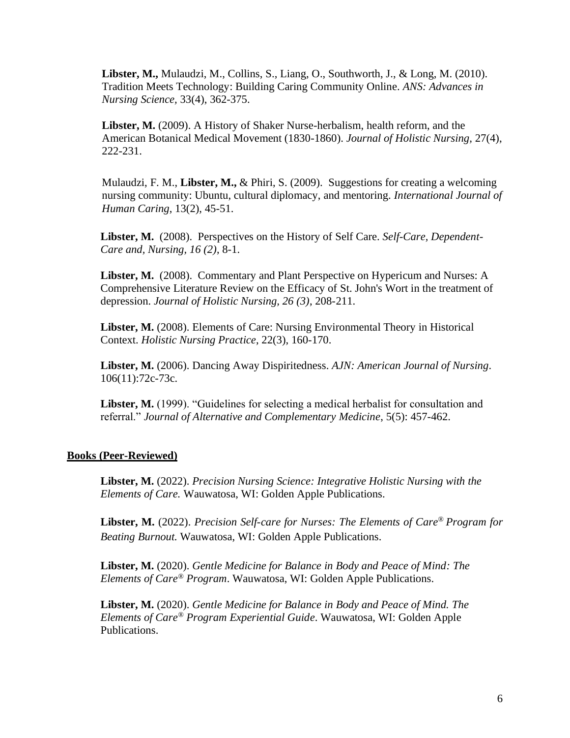**Libster, M.,** Mulaudzi, M., Collins, S., Liang, O., Southworth, J., & Long, M. (2010). Tradition Meets Technology: Building Caring Community Online. *ANS: Advances in Nursing Science,* 33(4), 362-375.

**Libster, M.** (2009). A History of Shaker Nurse-herbalism, health reform, and the American Botanical Medical Movement (1830-1860). *Journal of Holistic Nursing,* 27(4), 222-231.

Mulaudzi, F. M., **Libster, M.,** & Phiri, S. (2009). Suggestions for creating a welcoming nursing community: Ubuntu, cultural diplomacy, and mentoring. *International Journal of Human Caring*, 13(2), 45-51.

**Libster, M.** (2008). Perspectives on the History of Self Care. *Self-Care, Dependent-Care and, Nursing, 16 (2)*, 8-1.

Libster, M. (2008). Commentary and Plant Perspective on Hypericum and Nurses: A Comprehensive Literature Review on the Efficacy of St. John's Wort in the treatment of depression. *Journal of Holistic Nursing, 26 (3)*, 208-211.

**Libster, M.** (2008). Elements of Care: Nursing Environmental Theory in Historical Context. *Holistic Nursing Practice*, 22(3), 160-170.

**Libster, M.** (2006). Dancing Away Dispiritedness. *AJN: American Journal of Nursing*. 106(11):72c-73c.

**Libster, M.** (1999). "Guidelines for selecting a medical herbalist for consultation and referral." *Journal of Alternative and Complementary Medicine*, 5(5): 457-462.

#### **Books (Peer-Reviewed)**

**Libster, M.** (2022). *Precision Nursing Science: Integrative Holistic Nursing with the Elements of Care.* Wauwatosa, WI: Golden Apple Publications.

**Libster, M.** (2022). *Precision Self-care for Nurses: The Elements of Care® Program for Beating Burnout.* Wauwatosa, WI: Golden Apple Publications.

**Libster, M.** (2020). *Gentle Medicine for Balance in Body and Peace of Mind: The Elements of Care® Program*. Wauwatosa, WI: Golden Apple Publications.

**Libster, M.** (2020). *Gentle Medicine for Balance in Body and Peace of Mind. The Elements of Care® Program Experiential Guide*. Wauwatosa, WI: Golden Apple Publications.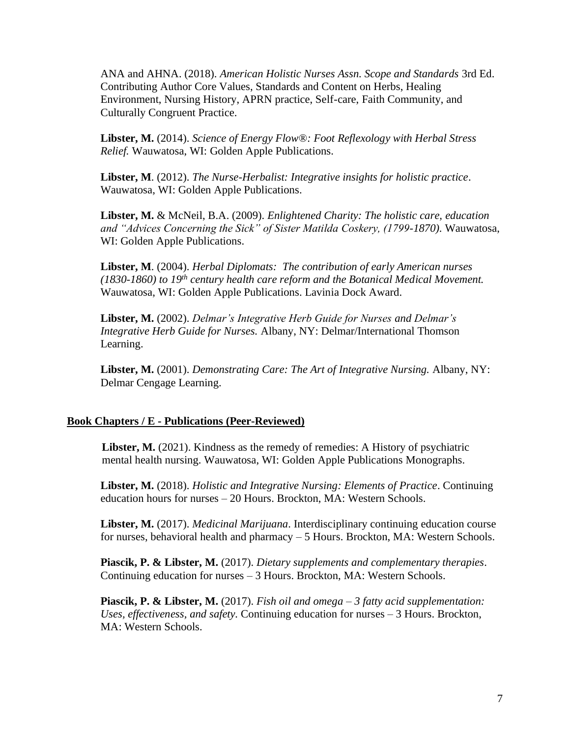ANA and AHNA. (2018). *American Holistic Nurses Assn. Scope and Standards* 3rd Ed. Contributing Author Core Values, Standards and Content on Herbs, Healing Environment, Nursing History, APRN practice, Self-care, Faith Community, and Culturally Congruent Practice.

**Libster, M.** (2014). *Science of Energy Flow®: Foot Reflexology with Herbal Stress Relief.* Wauwatosa, WI: Golden Apple Publications.

**Libster, M**. (2012). *The Nurse-Herbalist: Integrative insights for holistic practice*. Wauwatosa, WI: Golden Apple Publications.

**Libster, M.** & McNeil, B.A. (2009). *Enlightened Charity: The holistic care, education and "Advices Concerning the Sick" of Sister Matilda Coskery, (1799-1870).* Wauwatosa, WI: Golden Apple Publications.

**Libster, M**. (2004). *Herbal Diplomats: The contribution of early American nurses (1830-1860) to 19th century health care reform and the Botanical Medical Movement.* Wauwatosa, WI: Golden Apple Publications. Lavinia Dock Award.

**Libster, M.** (2002). *Delmar's Integrative Herb Guide for Nurses and Delmar's Integrative Herb Guide for Nurses.* Albany, NY: Delmar/International Thomson Learning.

**Libster, M.** (2001). *Demonstrating Care: The Art of Integrative Nursing.* Albany, NY: Delmar Cengage Learning.

#### **Book Chapters / E - Publications (Peer-Reviewed)**

Libster, M. (2021). Kindness as the remedy of remedies: A History of psychiatric mental health nursing. Wauwatosa, WI: Golden Apple Publications Monographs.

**Libster, M.** (2018). *Holistic and Integrative Nursing: Elements of Practice*. Continuing education hours for nurses – 20 Hours. Brockton, MA: Western Schools.

**Libster, M.** (2017). *Medicinal Marijuana*. Interdisciplinary continuing education course for nurses, behavioral health and pharmacy – 5 Hours. Brockton, MA: Western Schools.

**Piascik, P. & Libster, M.** (2017). *Dietary supplements and complementary therapies*. Continuing education for nurses – 3 Hours. Brockton, MA: Western Schools.

**Piascik, P. & Libster, M.** (2017). *Fish oil and omega – 3 fatty acid supplementation: Uses, effectiveness, and safety.* Continuing education for nurses – 3 Hours. Brockton, MA: Western Schools.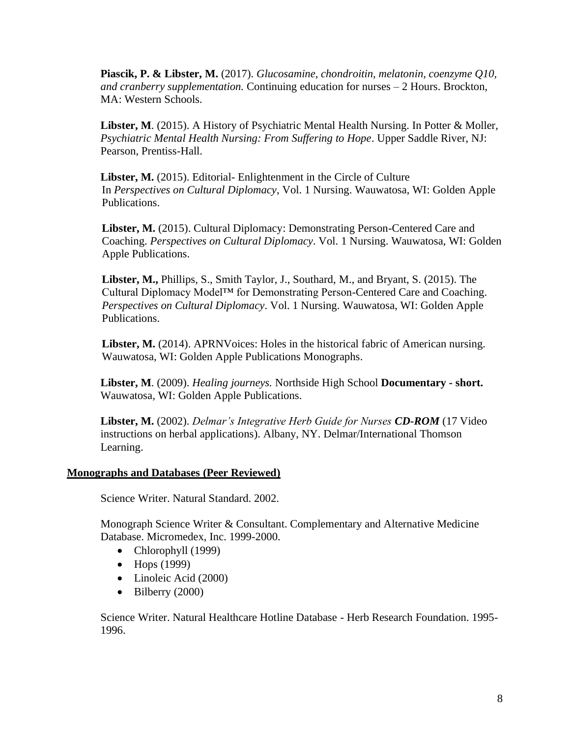**Piascik, P. & Libster, M.** (2017). *Glucosamine, chondroitin, melatonin, coenzyme Q10, and cranberry supplementation.* Continuing education for nurses – 2 Hours. Brockton, MA: Western Schools.

**Libster, M**. (2015). A History of Psychiatric Mental Health Nursing. In Potter & Moller, *Psychiatric Mental Health Nursing: From Suffering to Hope*. Upper Saddle River, NJ: Pearson, Prentiss-Hall.

Libster, M. (2015). Editorial- Enlightenment in the Circle of Culture In *Perspectives on Cultural Diplomacy*, Vol. 1 Nursing. Wauwatosa, WI: Golden Apple Publications.

**Libster, M.** (2015). Cultural Diplomacy: Demonstrating Person-Centered Care and Coaching. *Perspectives on Cultural Diplomacy*. Vol. 1 Nursing. Wauwatosa, WI: Golden Apple Publications.

**Libster, M.,** Phillips, S., Smith Taylor, J., Southard, M., and Bryant, S. (2015). The Cultural Diplomacy Model™ for Demonstrating Person-Centered Care and Coaching. *Perspectives on Cultural Diplomacy*. Vol. 1 Nursing. Wauwatosa, WI: Golden Apple Publications.

Libster, M. (2014). APRNVoices: Holes in the historical fabric of American nursing. Wauwatosa, WI: Golden Apple Publications Monographs.

**Libster, M**. (2009). *Healing journeys.* Northside High School **Documentary - short.** Wauwatosa, WI: Golden Apple Publications.

**Libster, M.** (2002). *Delmar's Integrative Herb Guide for Nurses CD-ROM* (17 Video instructions on herbal applications). Albany, NY. Delmar/International Thomson Learning.

## **Monographs and Databases (Peer Reviewed)**

Science Writer. Natural Standard. 2002.

Monograph Science Writer & Consultant. Complementary and Alternative Medicine Database. Micromedex, Inc. 1999-2000.

- Chlorophyll (1999)
- Hops (1999)
- Linoleic Acid (2000)
- $\bullet$  Bilberry (2000)

Science Writer. Natural Healthcare Hotline Database - Herb Research Foundation. 1995- 1996.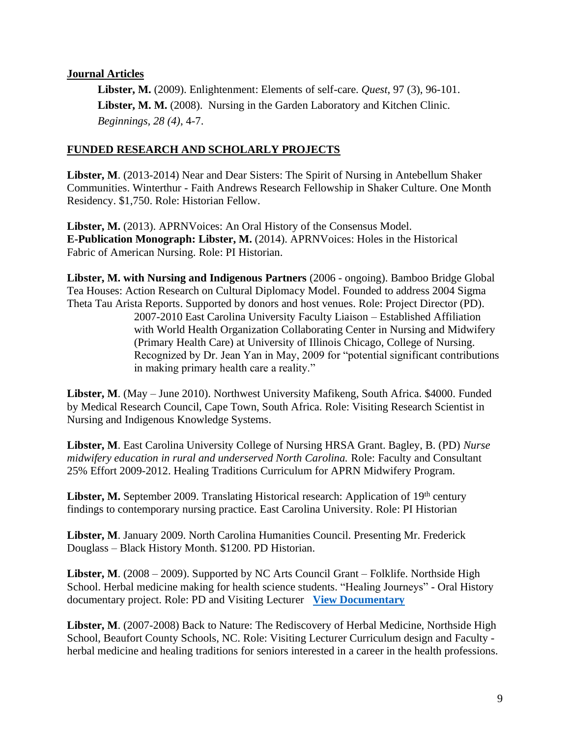## **Journal Articles**

 **Libster, M.** (2009). Enlightenment: Elements of self-care. *Quest*, 97 (3), 96-101.  **Libster, M. M.** (2008). Nursing in the Garden Laboratory and Kitchen Clinic. *Beginnings, 28 (4)*, 4-7.

## **FUNDED RESEARCH AND SCHOLARLY PROJECTS**

**Libster, M**. (2013-2014) Near and Dear Sisters: The Spirit of Nursing in Antebellum Shaker Communities. Winterthur - Faith Andrews Research Fellowship in Shaker Culture. One Month Residency. \$1,750. Role: Historian Fellow.

**Libster, M.** (2013). APRNVoices: An Oral History of the Consensus Model. **E-Publication Monograph: Libster, M.** (2014). APRNVoices: Holes in the Historical Fabric of American Nursing. Role: PI Historian.

**Libster, M. with Nursing and Indigenous Partners** (2006 - ongoing). Bamboo Bridge Global Tea Houses: Action Research on Cultural Diplomacy Model. Founded to address 2004 Sigma Theta Tau Arista Reports. Supported by donors and host venues. Role: Project Director (PD). 2007-2010 East Carolina University Faculty Liaison – Established Affiliation with World Health Organization Collaborating Center in Nursing and Midwifery (Primary Health Care) at University of Illinois Chicago, College of Nursing. Recognized by Dr. Jean Yan in May, 2009 for "potential significant contributions in making primary health care a reality."

**Libster, M**. (May – June 2010). Northwest University Mafikeng, South Africa. \$4000. Funded by Medical Research Council, Cape Town, South Africa. Role: Visiting Research Scientist in Nursing and Indigenous Knowledge Systems.

**Libster, M**. East Carolina University College of Nursing HRSA Grant. Bagley, B. (PD) *Nurse midwifery education in rural and underserved North Carolina.* Role: Faculty and Consultant 25% Effort 2009-2012. Healing Traditions Curriculum for APRN Midwifery Program.

Libster, M. September 2009. Translating Historical research: Application of 19<sup>th</sup> century findings to contemporary nursing practice. East Carolina University. Role: PI Historian

**Libster, M**. January 2009. North Carolina Humanities Council. Presenting Mr. Frederick Douglass – Black History Month. \$1200. PD Historian.

**Libster, M**. (2008 – 2009). Supported by NC Arts Council Grant – Folklife. Northside High School. Herbal medicine making for health science students. "Healing Journeys" - Oral History documentary project. Role: PD and Visiting Lecturer **[View Documentary](https://www.goldenapplehealingarts.com/about-dr-martha)**

**Libster, M**. (2007-2008) Back to Nature: The Rediscovery of Herbal Medicine, Northside High School, Beaufort County Schools, NC. Role: Visiting Lecturer Curriculum design and Faculty herbal medicine and healing traditions for seniors interested in a career in the health professions.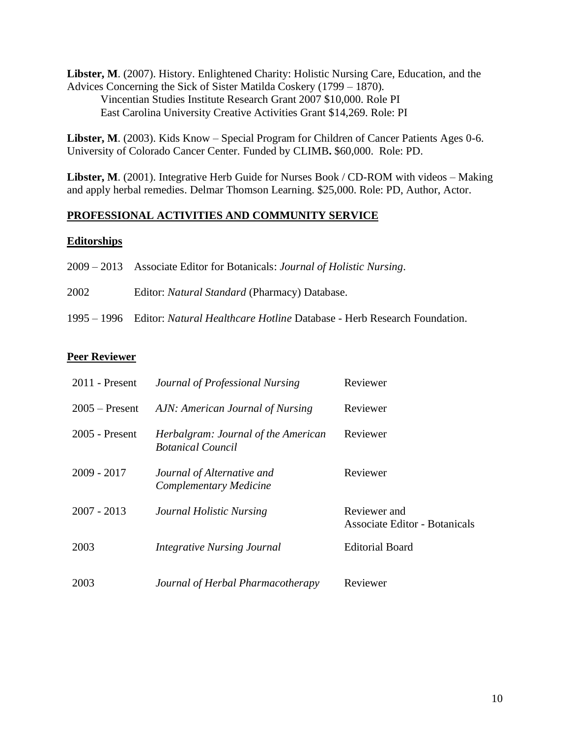**Libster, M**. (2007). History. Enlightened Charity: Holistic Nursing Care, Education, and the Advices Concerning the Sick of Sister Matilda Coskery (1799 – 1870)*.* Vincentian Studies Institute Research Grant 2007 \$10,000. Role PI East Carolina University Creative Activities Grant \$14,269. Role: PI

**Libster, M**. (2003). Kids Know – Special Program for Children of Cancer Patients Ages 0-6. University of Colorado Cancer Center. Funded by CLIMB**.** \$60,000. Role: PD.

**Libster, M**. (2001). Integrative Herb Guide for Nurses Book / CD-ROM with videos – Making and apply herbal remedies. Delmar Thomson Learning. \$25,000. Role: PD, Author, Actor.

## **PROFESSIONAL ACTIVITIES AND COMMUNITY SERVICE**

## **Editorships**

|      | 2009 – 2013 Associate Editor for Botanicals: <i>Journal of Holistic Nursing</i> .          |
|------|--------------------------------------------------------------------------------------------|
| 2002 | Editor: <i>Natural Standard</i> (Pharmacy) Database.                                       |
|      | 1995 – 1996 Editor: <i>Natural Healthcare Hotline</i> Database - Herb Research Foundation. |

## **Peer Reviewer**

| $2011$ - Present | Journal of Professional Nursing                                 | Reviewer                                      |
|------------------|-----------------------------------------------------------------|-----------------------------------------------|
| $2005$ – Present | AJN: American Journal of Nursing                                | Reviewer                                      |
| 2005 - Present   | Herbalgram: Journal of the American<br><b>Botanical Council</b> | Reviewer                                      |
| $2009 - 2017$    | Journal of Alternative and<br>Complementary Medicine            | Reviewer                                      |
| $2007 - 2013$    | Journal Holistic Nursing                                        | Reviewer and<br>Associate Editor - Botanicals |
| 2003             | <b>Integrative Nursing Journal</b>                              | <b>Editorial Board</b>                        |
| 2003             | Journal of Herbal Pharmacotherapy                               | Reviewer                                      |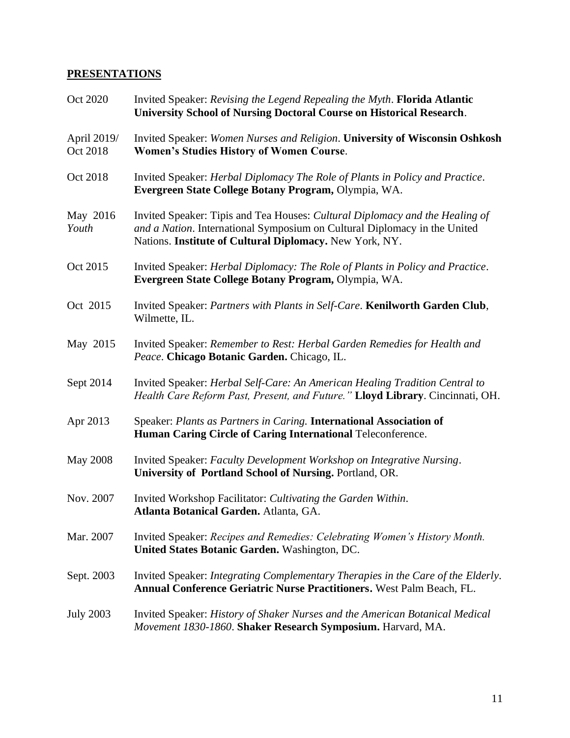## **PRESENTATIONS**

| Oct 2020                | Invited Speaker: Revising the Legend Repealing the Myth. Florida Atlantic<br><b>University School of Nursing Doctoral Course on Historical Research.</b>                                                             |
|-------------------------|----------------------------------------------------------------------------------------------------------------------------------------------------------------------------------------------------------------------|
| April 2019/<br>Oct 2018 | Invited Speaker: Women Nurses and Religion. University of Wisconsin Oshkosh<br><b>Women's Studies History of Women Course.</b>                                                                                       |
| Oct 2018                | Invited Speaker: Herbal Diplomacy The Role of Plants in Policy and Practice.<br>Evergreen State College Botany Program, Olympia, WA.                                                                                 |
| May 2016<br>Youth       | Invited Speaker: Tipis and Tea Houses: Cultural Diplomacy and the Healing of<br>and a Nation. International Symposium on Cultural Diplomacy in the United<br>Nations. Institute of Cultural Diplomacy. New York, NY. |
| Oct 2015                | Invited Speaker: Herbal Diplomacy: The Role of Plants in Policy and Practice.<br>Evergreen State College Botany Program, Olympia, WA.                                                                                |
| Oct 2015                | Invited Speaker: Partners with Plants in Self-Care. Kenilworth Garden Club,<br>Wilmette, IL.                                                                                                                         |
| May 2015                | Invited Speaker: Remember to Rest: Herbal Garden Remedies for Health and<br>Peace. Chicago Botanic Garden. Chicago, IL.                                                                                              |
| Sept 2014               | Invited Speaker: Herbal Self-Care: An American Healing Tradition Central to<br>Health Care Reform Past, Present, and Future." Lloyd Library. Cincinnati, OH.                                                         |
| Apr 2013                | Speaker: Plants as Partners in Caring. International Association of<br>Human Caring Circle of Caring International Teleconference.                                                                                   |
| <b>May 2008</b>         | Invited Speaker: Faculty Development Workshop on Integrative Nursing.<br>University of Portland School of Nursing. Portland, OR.                                                                                     |
| Nov. 2007               | Invited Workshop Facilitator: Cultivating the Garden Within.<br><b>Atlanta Botanical Garden.</b> Atlanta, GA.                                                                                                        |
| Mar. 2007               | Invited Speaker: Recipes and Remedies: Celebrating Women's History Month.<br>United States Botanic Garden. Washington, DC.                                                                                           |
| Sept. 2003              | Invited Speaker: Integrating Complementary Therapies in the Care of the Elderly.<br>Annual Conference Geriatric Nurse Practitioners. West Palm Beach, FL.                                                            |
| <b>July 2003</b>        | Invited Speaker: History of Shaker Nurses and the American Botanical Medical<br>Movement 1830-1860. Shaker Research Symposium. Harvard, MA.                                                                          |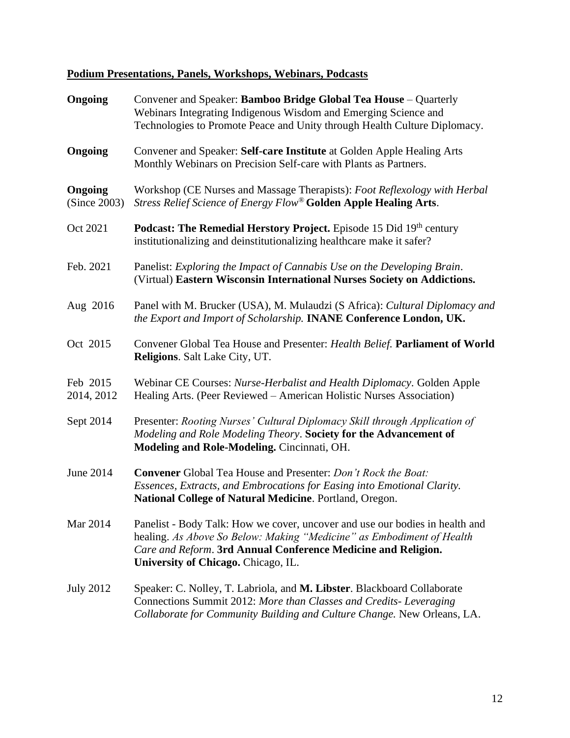# **Podium Presentations, Panels, Workshops, Webinars, Podcasts**

| Ongoing                 | Convener and Speaker: Bamboo Bridge Global Tea House – Quarterly<br>Webinars Integrating Indigenous Wisdom and Emerging Science and<br>Technologies to Promote Peace and Unity through Health Culture Diplomacy.                                              |
|-------------------------|---------------------------------------------------------------------------------------------------------------------------------------------------------------------------------------------------------------------------------------------------------------|
| Ongoing                 | Convener and Speaker: Self-care Institute at Golden Apple Healing Arts<br>Monthly Webinars on Precision Self-care with Plants as Partners.                                                                                                                    |
| Ongoing<br>(Since 2003) | Workshop (CE Nurses and Massage Therapists): Foot Reflexology with Herbal<br>Stress Relief Science of Energy Flow® Golden Apple Healing Arts.                                                                                                                 |
| Oct 2021                | <b>Podcast: The Remedial Herstory Project.</b> Episode 15 Did 19th century<br>institutionalizing and deinstitutionalizing healthcare make it safer?                                                                                                           |
| Feb. 2021               | Panelist: Exploring the Impact of Cannabis Use on the Developing Brain.<br>(Virtual) Eastern Wisconsin International Nurses Society on Addictions.                                                                                                            |
| Aug 2016                | Panel with M. Brucker (USA), M. Mulaudzi (S Africa): Cultural Diplomacy and<br>the Export and Import of Scholarship. INANE Conference London, UK.                                                                                                             |
| Oct 2015                | Convener Global Tea House and Presenter: Health Belief. Parliament of World<br>Religions. Salt Lake City, UT.                                                                                                                                                 |
| Feb 2015<br>2014, 2012  | Webinar CE Courses: Nurse-Herbalist and Health Diplomacy. Golden Apple<br>Healing Arts. (Peer Reviewed – American Holistic Nurses Association)                                                                                                                |
| Sept 2014               | Presenter: Rooting Nurses' Cultural Diplomacy Skill through Application of<br>Modeling and Role Modeling Theory. Society for the Advancement of<br>Modeling and Role-Modeling. Cincinnati, OH.                                                                |
| <b>June 2014</b>        | <b>Convener</b> Global Tea House and Presenter: Don't Rock the Boat:<br>Essences, Extracts, and Embrocations for Easing into Emotional Clarity.<br>National College of Natural Medicine. Portland, Oregon.                                                    |
| Mar 2014                | Panelist - Body Talk: How we cover, uncover and use our bodies in health and<br>healing. As Above So Below: Making "Medicine" as Embodiment of Health<br>Care and Reform. 3rd Annual Conference Medicine and Religion.<br>University of Chicago. Chicago, IL. |
| <b>July 2012</b>        | Speaker: C. Nolley, T. Labriola, and M. Libster. Blackboard Collaborate<br>Connections Summit 2012: More than Classes and Credits- Leveraging<br>Collaborate for Community Building and Culture Change. New Orleans, LA.                                      |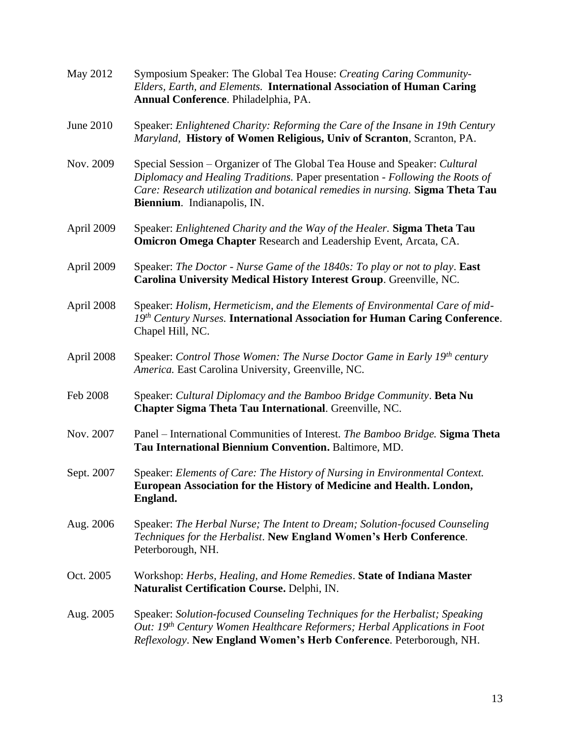| May 2012   | Symposium Speaker: The Global Tea House: Creating Caring Community-<br>Elders, Earth, and Elements. International Association of Human Caring<br>Annual Conference. Philadelphia, PA.                                                                                      |
|------------|----------------------------------------------------------------------------------------------------------------------------------------------------------------------------------------------------------------------------------------------------------------------------|
| June 2010  | Speaker: Enlightened Charity: Reforming the Care of the Insane in 19th Century<br>Maryland, History of Women Religious, Univ of Scranton, Scranton, PA.                                                                                                                    |
| Nov. 2009  | Special Session - Organizer of The Global Tea House and Speaker: Cultural<br>Diplomacy and Healing Traditions. Paper presentation - Following the Roots of<br>Care: Research utilization and botanical remedies in nursing. Sigma Theta Tau<br>Biennium. Indianapolis, IN. |
| April 2009 | Speaker: Enlightened Charity and the Way of the Healer. Sigma Theta Tau<br><b>Omicron Omega Chapter Research and Leadership Event, Arcata, CA.</b>                                                                                                                         |
| April 2009 | Speaker: The Doctor - Nurse Game of the 1840s: To play or not to play. East<br>Carolina University Medical History Interest Group. Greenville, NC.                                                                                                                         |
| April 2008 | Speaker: Holism, Hermeticism, and the Elements of Environmental Care of mid-<br>$19th Century Nurses$ . International Association for Human Caring Conference.<br>Chapel Hill, NC.                                                                                         |
| April 2008 | Speaker: Control Those Women: The Nurse Doctor Game in Early 19 <sup>th</sup> century<br>America. East Carolina University, Greenville, NC.                                                                                                                                |
| Feb 2008   | Speaker: Cultural Diplomacy and the Bamboo Bridge Community. Beta Nu<br>Chapter Sigma Theta Tau International. Greenville, NC.                                                                                                                                             |
| Nov. 2007  | Panel – International Communities of Interest. The Bamboo Bridge. Sigma Theta<br>Tau International Biennium Convention. Baltimore, MD.                                                                                                                                     |
| Sept. 2007 | Speaker: Elements of Care: The History of Nursing in Environmental Context.<br>European Association for the History of Medicine and Health. London,<br>England.                                                                                                            |
| Aug. 2006  | Speaker: The Herbal Nurse; The Intent to Dream; Solution-focused Counseling<br>Techniques for the Herbalist. New England Women's Herb Conference.<br>Peterborough, NH.                                                                                                     |
| Oct. 2005  | Workshop: Herbs, Healing, and Home Remedies. State of Indiana Master<br>Naturalist Certification Course. Delphi, IN.                                                                                                                                                       |
| Aug. 2005  | Speaker: Solution-focused Counseling Techniques for the Herbalist; Speaking<br>Out: 19th Century Women Healthcare Reformers; Herbal Applications in Foot<br>Reflexology. New England Women's Herb Conference. Peterborough, NH.                                            |